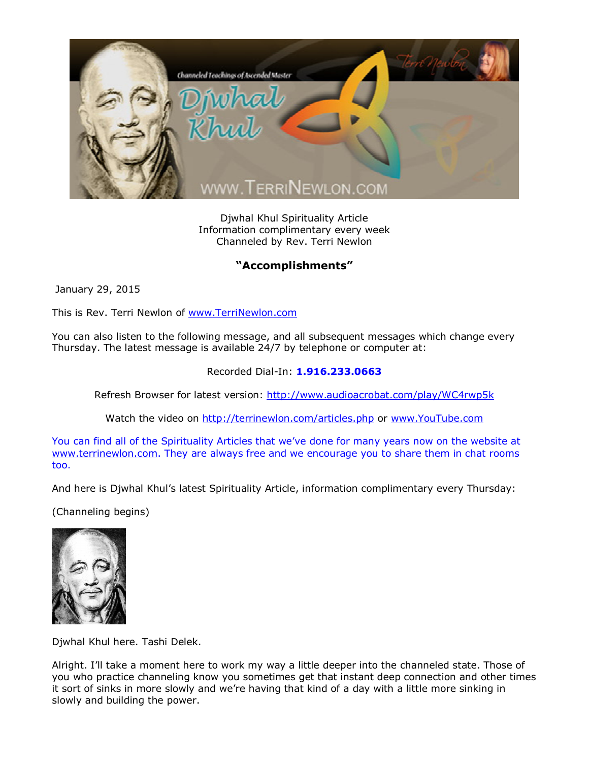

Djwhal Khul Spirituality Article Information complimentary every week Channeled by Rev. Terri Newlon

## **"Accomplishments"**

January 29, 2015

This is Rev. Terri Newlon of [www.TerriNewlon.com](http://www.terrinewlon.com/)

You can also listen to the following message, and all subsequent messages which change every Thursday. The latest message is available 24/7 by telephone or computer at:

## Recorded Dial-In: **1.916.233.0663**

Refresh Browser for latest version: <http://www.audioacrobat.com/play/WC4rwp5k>

Watch the video on <http://terrinewlon.com/articles.php> or [www.YouTube.com](http://www.youtube.com/)

You can find all of the Spirituality Articles that we've done for many years now on the website at [www.terrinewlon.com](http://www.terrinewlon.com/). They are always free and we encourage you to share them in chat rooms too.

And here is Djwhal Khul's latest Spirituality Article, information complimentary every Thursday:

(Channeling begins)



Djwhal Khul here. Tashi Delek.

Alright. I'll take a moment here to work my way a little deeper into the channeled state. Those of you who practice channeling know you sometimes get that instant deep connection and other times it sort of sinks in more slowly and we're having that kind of a day with a little more sinking in slowly and building the power.